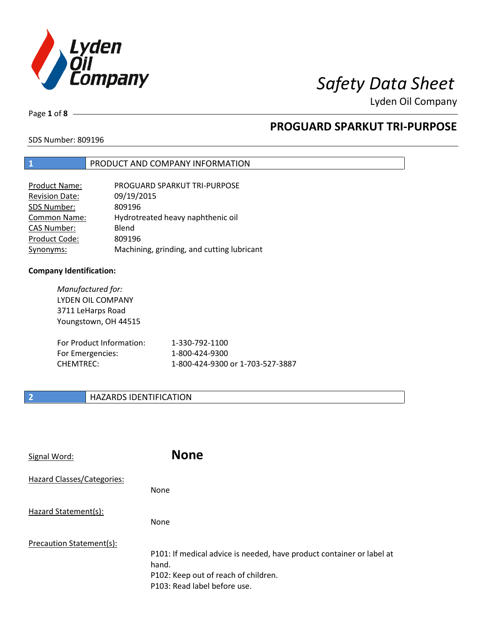

Page **1** of **8**

# **PROGUARD SPARKUT TRI-PURPOSE**

SDS Number: 809196

### **1** PRODUCT AND COMPANY INFORMATION

| Product Name:         | PROGUARD SPARKUT TRI-PURPOSE               |
|-----------------------|--------------------------------------------|
| <b>Revision Date:</b> | 09/19/2015                                 |
| SDS Number:           | 809196                                     |
| <b>Common Name:</b>   | Hydrotreated heavy naphthenic oil          |
| <b>CAS Number:</b>    | Blend                                      |
| Product Code:         | 809196                                     |
| Synonyms:             | Machining, grinding, and cutting lubricant |

### **Company Identification:**

*Manufactured for:* LYDEN OIL COMPANY 3711 LeHarps Road Youngstown, OH 44515 For Product Information: 1-330-792-1100 For Emergencies: 1-800-424-9300 CHEMTREC: 1-800-424-9300 or 1-703-527-3887

### **2 HAZARDS IDENTIFICATION**

| Signal Word:               | <b>None</b>                                                                                                                                            |
|----------------------------|--------------------------------------------------------------------------------------------------------------------------------------------------------|
| Hazard Classes/Categories: | <b>None</b>                                                                                                                                            |
| Hazard Statement(s):       | <b>None</b>                                                                                                                                            |
| Precaution Statement(s):   | P101: If medical advice is needed, have product container or label at<br>hand.<br>P102: Keep out of reach of children.<br>P103: Read label before use. |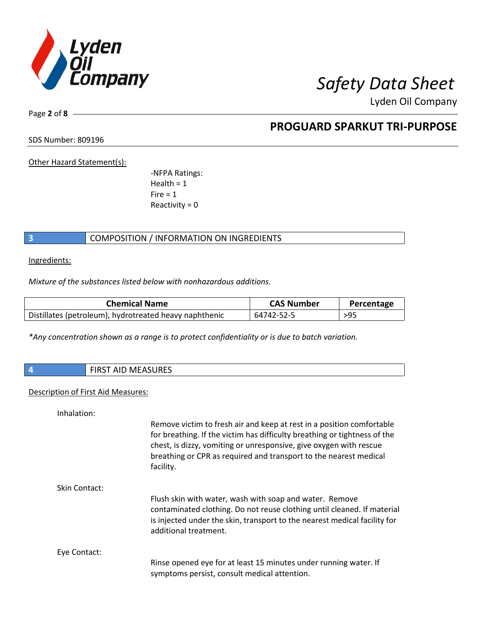

Page **2** of **8**

## **PROGUARD SPARKUT TRI-PURPOSE**

SDS Number: 809196

Other Hazard Statement(s):

-NFPA Ratings:  $Health = 1$  $Fire = 1$ Reactivity  $= 0$ 

### **3** COMPOSITION / INFORMATION ON INGREDIENTS

Ingredients:

*Mixture of the substances listed below with nonhazardous additions.*

| <b>Chemical Name</b>                                   | <b>CAS Number</b> | Percentage |
|--------------------------------------------------------|-------------------|------------|
| Distillates (petroleum), hydrotreated heavy naphthenic | 64742-52-5        | $>95$      |

*\*Any concentration shown as a range is to protect confidentiality or is due to batch variation.*

| $\overline{4}$ | AID MAEACUDEC<br><b>FIDCT</b><br>IVI F<br><b>CONDUCATION OF STREET</b><br>. |
|----------------|-----------------------------------------------------------------------------|
|                |                                                                             |

### Description of First Aid Measures:

| Inhalation:   |                                                                                                                                                                                                                                                                                                            |
|---------------|------------------------------------------------------------------------------------------------------------------------------------------------------------------------------------------------------------------------------------------------------------------------------------------------------------|
|               | Remove victim to fresh air and keep at rest in a position comfortable<br>for breathing. If the victim has difficulty breathing or tightness of the<br>chest, is dizzy, vomiting or unresponsive, give oxygen with rescue<br>breathing or CPR as required and transport to the nearest medical<br>facility. |
| Skin Contact: |                                                                                                                                                                                                                                                                                                            |
|               | Flush skin with water, wash with soap and water. Remove<br>contaminated clothing. Do not reuse clothing until cleaned. If material<br>is injected under the skin, transport to the nearest medical facility for<br>additional treatment.                                                                   |
| Eye Contact:  |                                                                                                                                                                                                                                                                                                            |
|               | Rinse opened eye for at least 15 minutes under running water. If<br>symptoms persist, consult medical attention.                                                                                                                                                                                           |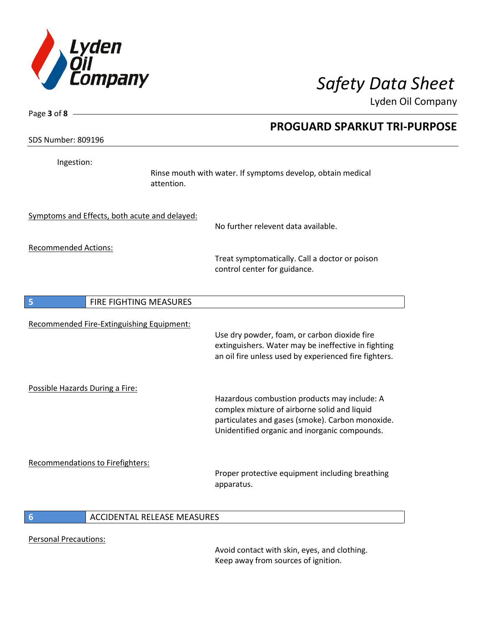

| Page 3 of 8 -                    |                                               |                                                                                                                                                                                                   |  |
|----------------------------------|-----------------------------------------------|---------------------------------------------------------------------------------------------------------------------------------------------------------------------------------------------------|--|
|                                  |                                               | <b>PROGUARD SPARKUT TRI-PURPOSE</b>                                                                                                                                                               |  |
| <b>SDS Number: 809196</b>        |                                               |                                                                                                                                                                                                   |  |
| Ingestion:                       | attention.                                    | Rinse mouth with water. If symptoms develop, obtain medical                                                                                                                                       |  |
|                                  | Symptoms and Effects, both acute and delayed: | No further relevent data available.                                                                                                                                                               |  |
| <b>Recommended Actions:</b>      |                                               | Treat symptomatically. Call a doctor or poison<br>control center for guidance.                                                                                                                    |  |
| 5                                | FIRE FIGHTING MEASURES                        |                                                                                                                                                                                                   |  |
|                                  | Recommended Fire-Extinguishing Equipment:     | Use dry powder, foam, or carbon dioxide fire<br>extinguishers. Water may be ineffective in fighting<br>an oil fire unless used by experienced fire fighters.                                      |  |
| Possible Hazards During a Fire:  |                                               | Hazardous combustion products may include: A<br>complex mixture of airborne solid and liquid<br>particulates and gases (smoke). Carbon monoxide.<br>Unidentified organic and inorganic compounds. |  |
| Recommendations to Firefighters: |                                               | Proper protective equipment including breathing<br>apparatus.                                                                                                                                     |  |
| 6                                | ACCIDENTAL RELEASE MEASURES                   |                                                                                                                                                                                                   |  |

Personal Precautions:

Avoid contact with skin, eyes, and clothing. Keep away from sources of ignition.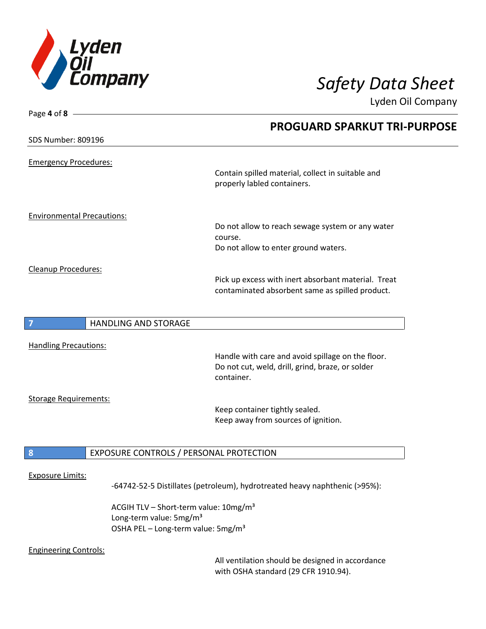

| Page 4 of 8                         |                                                                                  |
|-------------------------------------|----------------------------------------------------------------------------------|
|                                     | <b>PROGUARD SPARKUT TRI-PURPOSE</b>                                              |
| <b>SDS Number: 809196</b>           |                                                                                  |
|                                     |                                                                                  |
| <b>Emergency Procedures:</b>        |                                                                                  |
|                                     | Contain spilled material, collect in suitable and<br>properly labled containers. |
|                                     |                                                                                  |
|                                     |                                                                                  |
| <b>Environmental Precautions:</b>   | Do not allow to reach sewage system or any water                                 |
|                                     | course.                                                                          |
|                                     | Do not allow to enter ground waters.                                             |
|                                     |                                                                                  |
| Cleanup Procedures:                 |                                                                                  |
|                                     | Pick up excess with inert absorbant material. Treat                              |
|                                     | contaminated absorbent same as spilled product.                                  |
|                                     |                                                                                  |
| <b>HANDLING AND STORAGE</b><br>7    |                                                                                  |
|                                     |                                                                                  |
| <b>Handling Precautions:</b>        |                                                                                  |
|                                     | Handle with care and avoid spillage on the floor.                                |
|                                     | Do not cut, weld, drill, grind, braze, or solder                                 |
|                                     | container.                                                                       |
|                                     |                                                                                  |
| <b>Storage Requirements:</b>        |                                                                                  |
|                                     | Keep container tightly sealed.<br>Keep away from sources of ignition.            |
|                                     |                                                                                  |
|                                     |                                                                                  |
| 8                                   | EXPOSURE CONTROLS / PERSONAL PROTECTION                                          |
| <b>Exposure Limits:</b>             |                                                                                  |
|                                     | -64742-52-5 Distillates (petroleum), hydrotreated heavy naphthenic (>95%):       |
|                                     |                                                                                  |
|                                     | ACGIH TLV - Short-term value: 10mg/m <sup>3</sup>                                |
| Long-term value: 5mg/m <sup>3</sup> |                                                                                  |
|                                     | OSHA PEL - Long-term value: 5mg/m <sup>3</sup>                                   |

### Engineering Controls:

All ventilation should be designed in accordance with OSHA standard (29 CFR 1910.94).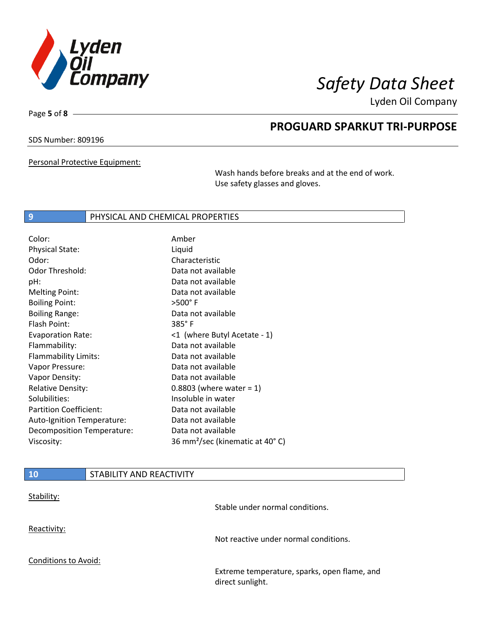

Page **5** of **8**

# **PROGUARD SPARKUT TRI-PURPOSE**

### SDS Number: 809196

Personal Protective Equipment:

Wash hands before breaks and at the end of work. Use safety glasses and gloves.

### **9 PHYSICAL AND CHEMICAL PROPERTIES**

| Amber                                       |
|---------------------------------------------|
| Liquid                                      |
| Characteristic                              |
| Data not available                          |
| Data not available                          |
| Data not available                          |
| $>500^\circ$ F                              |
| Data not available                          |
| $385^\circ$ F                               |
| <1 (where Butyl Acetate - 1)                |
| Data not available                          |
| Data not available                          |
| Data not available                          |
| Data not available                          |
| 0.8803 (where water = $1$ )                 |
| Insoluble in water                          |
| Data not available                          |
| Data not available                          |
| Data not available                          |
| 36 mm <sup>2</sup> /sec (kinematic at 40°C) |
|                                             |

| <b>10</b>                   | STABILITY AND REACTIVITY |                                                                  |
|-----------------------------|--------------------------|------------------------------------------------------------------|
| Stability:                  |                          | Stable under normal conditions.                                  |
| Reactivity:                 |                          | Not reactive under normal conditions.                            |
| <b>Conditions to Avoid:</b> |                          |                                                                  |
|                             |                          | Extreme temperature, sparks, open flame, and<br>direct sunlight. |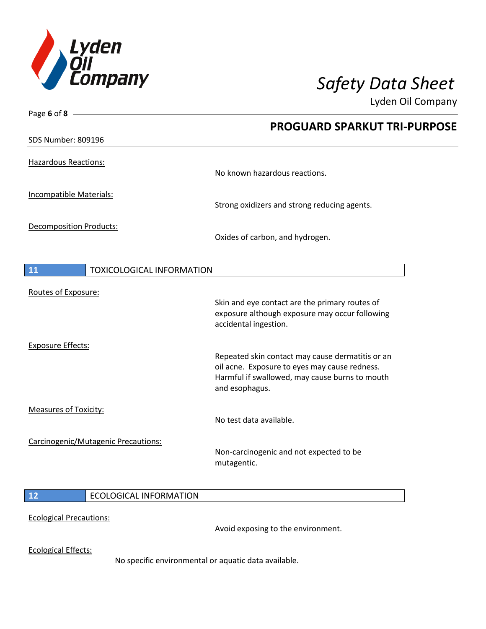

Page **6** of **8**

 $\overline{\phantom{a}}$ 

Lyden Oil Company

|                                |                                     | <b>PROGUARD SPARKUT TRI-PURPOSE</b>                                                                                                                                   |
|--------------------------------|-------------------------------------|-----------------------------------------------------------------------------------------------------------------------------------------------------------------------|
| <b>SDS Number: 809196</b>      |                                     |                                                                                                                                                                       |
| <b>Hazardous Reactions:</b>    |                                     | No known hazardous reactions.                                                                                                                                         |
| Incompatible Materials:        |                                     | Strong oxidizers and strong reducing agents.                                                                                                                          |
| <b>Decomposition Products:</b> |                                     | Oxides of carbon, and hydrogen.                                                                                                                                       |
| 11                             | <b>TOXICOLOGICAL INFORMATION</b>    |                                                                                                                                                                       |
| Routes of Exposure:            |                                     | Skin and eye contact are the primary routes of<br>exposure although exposure may occur following<br>accidental ingestion.                                             |
| <b>Exposure Effects:</b>       |                                     | Repeated skin contact may cause dermatitis or an<br>oil acne. Exposure to eyes may cause redness.<br>Harmful if swallowed, may cause burns to mouth<br>and esophagus. |
| <b>Measures of Toxicity:</b>   |                                     | No test data available.                                                                                                                                               |
|                                | Carcinogenic/Mutagenic Precautions: | Non-carcinogenic and not expected to be<br>mutagentic.                                                                                                                |
| 12                             | <b>ECOLOGICAL INFORMATION</b>       |                                                                                                                                                                       |
| <b>Ecological Precautions:</b> |                                     |                                                                                                                                                                       |

Avoid exposing to the environment.

Ecological Effects:

No specific environmental or aquatic data available.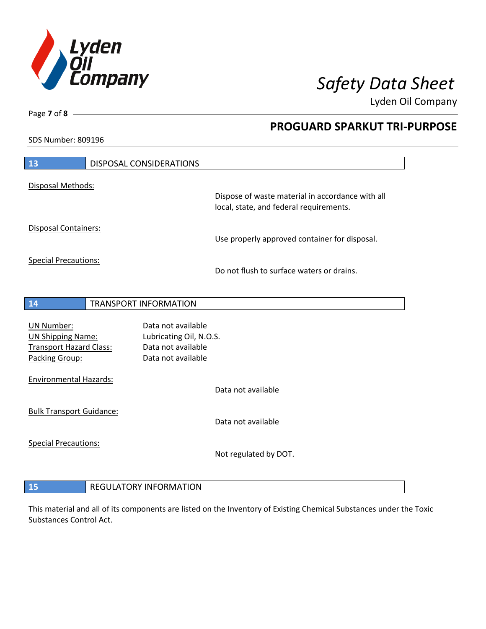

**PROGUARD SPARKUT TRI-PURPOSE**

Lyden Oil Company

SDS Number: 809196

Page **7** of **8**

| 13                                                                                                | <b>DISPOSAL CONSIDERATIONS</b> |                                                                                             |
|---------------------------------------------------------------------------------------------------|--------------------------------|---------------------------------------------------------------------------------------------|
| Disposal Methods:                                                                                 |                                |                                                                                             |
|                                                                                                   |                                | Dispose of waste material in accordance with all<br>local, state, and federal requirements. |
| <b>Disposal Containers:</b>                                                                       |                                | Use properly approved container for disposal.                                               |
| <b>Special Precautions:</b>                                                                       |                                | Do not flush to surface waters or drains.                                                   |
| 14                                                                                                | <b>TRANSPORT INFORMATION</b>   |                                                                                             |
| <b>UN Number:</b><br><b>UN Shipping Name:</b><br><b>Transport Hazard Class:</b><br>Packing Group: |                                | Data not available<br>Lubricating Oil, N.O.S.<br>Data not available<br>Data not available   |
| <b>Environmental Hazards:</b>                                                                     |                                | Data not available                                                                          |
| <b>Bulk Transport Guidance:</b>                                                                   |                                | Data not available                                                                          |
| <b>Special Precautions:</b>                                                                       |                                | Not regulated by DOT.                                                                       |
|                                                                                                   |                                |                                                                                             |

## **REGULATORY INFORMATION**

This material and all of its components are listed on the Inventory of Existing Chemical Substances under the Toxic Substances Control Act.